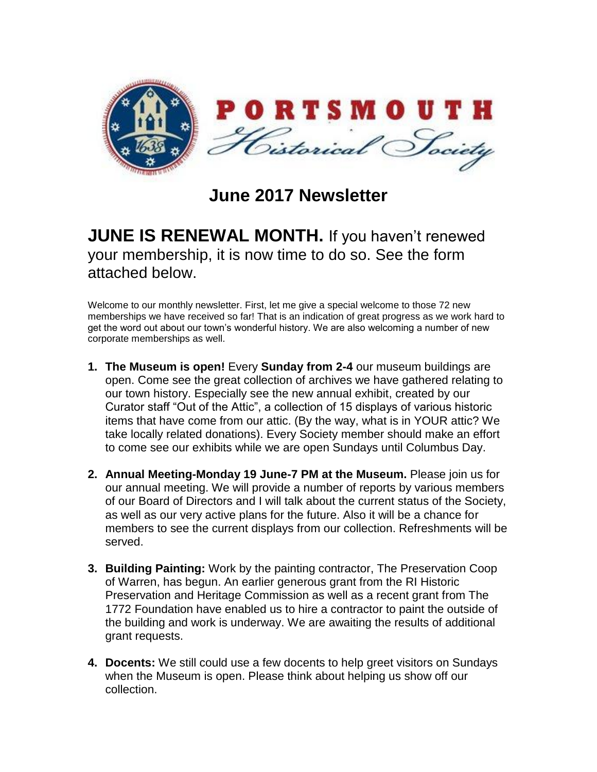

**June 2017 Newsletter**

## **JUNE IS RENEWAL MONTH.** If you haven't renewed your membership, it is now time to do so. See the form attached below.

Welcome to our monthly newsletter. First, let me give a special welcome to those 72 new memberships we have received so far! That is an indication of great progress as we work hard to get the word out about our town's wonderful history. We are also welcoming a number of new corporate memberships as well.

- **1. The Museum is open!** Every **Sunday from 2-4** our museum buildings are open. Come see the great collection of archives we have gathered relating to our town history. Especially see the new annual exhibit, created by our Curator staff "Out of the Attic", a collection of 15 displays of various historic items that have come from our attic. (By the way, what is in YOUR attic? We take locally related donations). Every Society member should make an effort to come see our exhibits while we are open Sundays until Columbus Day.
- **2. Annual Meeting-Monday 19 June-7 PM at the Museum.** Please join us for our annual meeting. We will provide a number of reports by various members of our Board of Directors and I will talk about the current status of the Society, as well as our very active plans for the future. Also it will be a chance for members to see the current displays from our collection. Refreshments will be served.
- **3. Building Painting:** Work by the painting contractor, The Preservation Coop of Warren, has begun. An earlier generous grant from the RI Historic Preservation and Heritage Commission as well as a recent grant from The 1772 Foundation have enabled us to hire a contractor to paint the outside of the building and work is underway. We are awaiting the results of additional grant requests.
- **4. Docents:** We still could use a few docents to help greet visitors on Sundays when the Museum is open. Please think about helping us show off our collection.